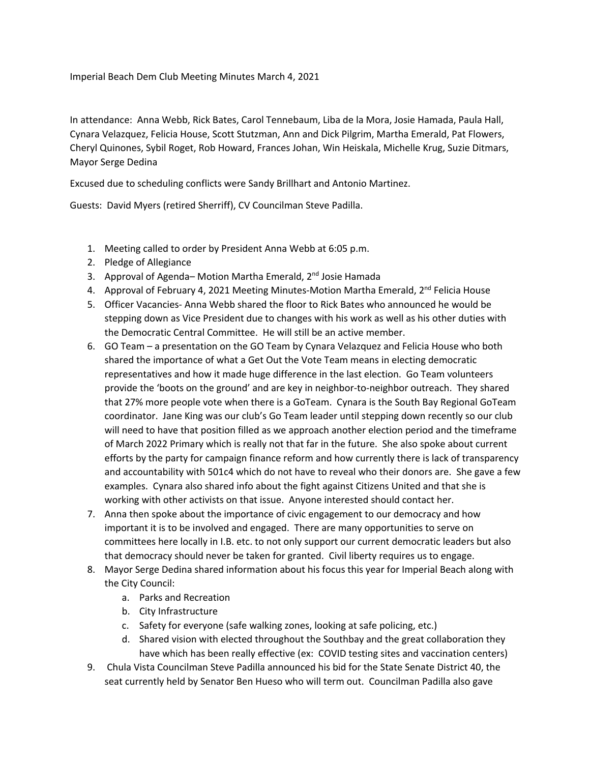## Imperial Beach Dem Club Meeting Minutes March 4, 2021

In attendance: Anna Webb, Rick Bates, Carol Tennebaum, Liba de la Mora, Josie Hamada, Paula Hall, Cynara Velazquez, Felicia House, Scott Stutzman, Ann and Dick Pilgrim, Martha Emerald, Pat Flowers, Cheryl Quinones, Sybil Roget, Rob Howard, Frances Johan, Win Heiskala, Michelle Krug, Suzie Ditmars, Mayor Serge Dedina

Excused due to scheduling conflicts were Sandy Brillhart and Antonio Martinez.

Guests: David Myers (retired Sherriff), CV Councilman Steve Padilla.

- 1. Meeting called to order by President Anna Webb at 6:05 p.m.
- 2. Pledge of Allegiance
- 3. Approval of Agenda– Motion Martha Emerald, 2<sup>nd</sup> Josie Hamada
- 4. Approval of February 4, 2021 Meeting Minutes-Motion Martha Emerald, 2<sup>nd</sup> Felicia House
- 5. Officer Vacancies- Anna Webb shared the floor to Rick Bates who announced he would be stepping down as Vice President due to changes with his work as well as his other duties with the Democratic Central Committee. He will still be an active member.
- 6. GO Team a presentation on the GO Team by Cynara Velazquez and Felicia House who both shared the importance of what a Get Out the Vote Team means in electing democratic representatives and how it made huge difference in the last election. Go Team volunteers provide the 'boots on the ground' and are key in neighbor-to-neighbor outreach. They shared that 27% more people vote when there is a GoTeam. Cynara is the South Bay Regional GoTeam coordinator. Jane King was our club's Go Team leader until stepping down recently so our club will need to have that position filled as we approach another election period and the timeframe of March 2022 Primary which is really not that far in the future. She also spoke about current efforts by the party for campaign finance reform and how currently there is lack of transparency and accountability with 501c4 which do not have to reveal who their donors are. She gave a few examples. Cynara also shared info about the fight against Citizens United and that she is working with other activists on that issue. Anyone interested should contact her.
- 7. Anna then spoke about the importance of civic engagement to our democracy and how important it is to be involved and engaged. There are many opportunities to serve on committees here locally in I.B. etc. to not only support our current democratic leaders but also that democracy should never be taken for granted. Civil liberty requires us to engage.
- 8. Mayor Serge Dedina shared information about his focus this year for Imperial Beach along with the City Council:
	- a. Parks and Recreation
	- b. City Infrastructure
	- c. Safety for everyone (safe walking zones, looking at safe policing, etc.)
	- d. Shared vision with elected throughout the Southbay and the great collaboration they have which has been really effective (ex: COVID testing sites and vaccination centers)
- 9. Chula Vista Councilman Steve Padilla announced his bid for the State Senate District 40, the seat currently held by Senator Ben Hueso who will term out. Councilman Padilla also gave